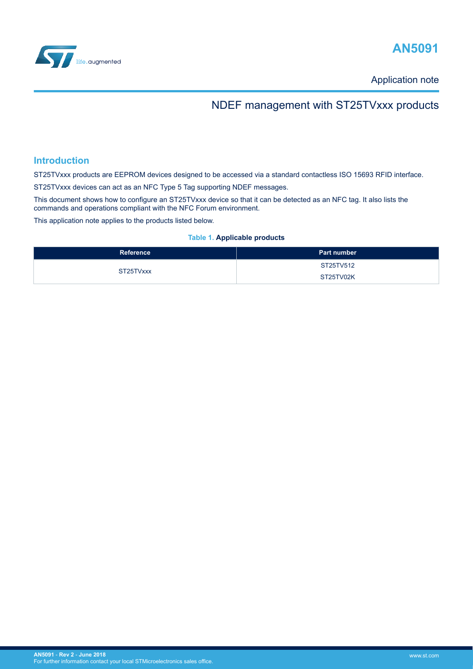<span id="page-0-0"></span>



Application note

## NDEF management with ST25TVxxx products

### **Introduction**

ST25TVxxx products are EEPROM devices designed to be accessed via a standard contactless ISO 15693 RFID interface.

ST25TVxxx devices can act as an NFC Type 5 Tag supporting NDEF messages.

This document shows how to configure an ST25TVxxx device so that it can be detected as an NFC tag. It also lists the commands and operations compliant with the NFC Forum environment.

This application note applies to the products listed below.

#### **Table 1. Applicable products**

| Reference | <b>Part number</b> |
|-----------|--------------------|
| ST25TVxxx | ST25TV512          |
|           | ST25TV02K          |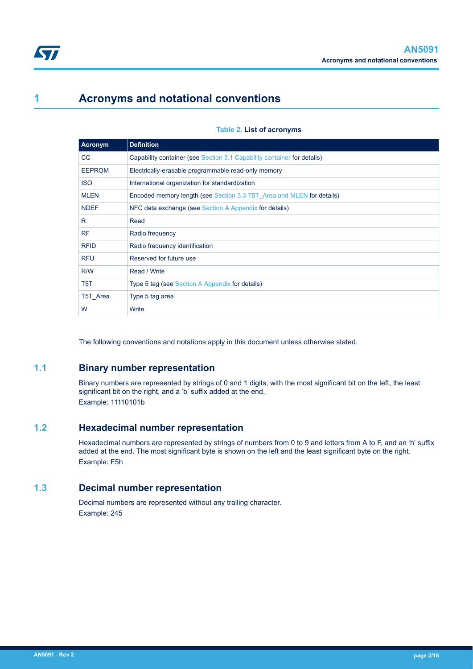<span id="page-1-0"></span>

## **1 Acronyms and notational conventions**

| <b>Acronym</b>   | <b>Definition</b>                                                       |
|------------------|-------------------------------------------------------------------------|
| CC.              | Capability container (see Section 3.1 Capability container for details) |
| <b>EEPROM</b>    | Electrically-erasable programmable read-only memory                     |
| <b>ISO</b>       | International organization for standardization                          |
| <b>MLEN</b>      | Encoded memory length (see Section 3.3 T5T Area and MLEN for details)   |
| <b>NDEF</b>      | NFC data exchange (see Section A Appendix for details)                  |
| R                | Read                                                                    |
| <b>RF</b>        | Radio frequency                                                         |
| <b>RFID</b>      | Radio frequency identification                                          |
| <b>RFU</b>       | Reserved for future use                                                 |
| R/W              | Read / Write                                                            |
| T <sub>5</sub> T | Type 5 tag (see Section A Appendix for details)                         |
| T5T Area         | Type 5 tag area                                                         |
| W                | Write                                                                   |

The following conventions and notations apply in this document unless otherwise stated.

### **1.1 Binary number representation**

Binary numbers are represented by strings of 0 and 1 digits, with the most significant bit on the left, the least significant bit on the right, and a 'b' suffix added at the end. Example: 11110101b

## **1.2 Hexadecimal number representation**

Hexadecimal numbers are represented by strings of numbers from 0 to 9 and letters from A to F, and an 'h' suffix added at the end. The most significant byte is shown on the left and the least significant byte on the right. Example: F5h

### **1.3 Decimal number representation**

Decimal numbers are represented without any trailing character. Example: 245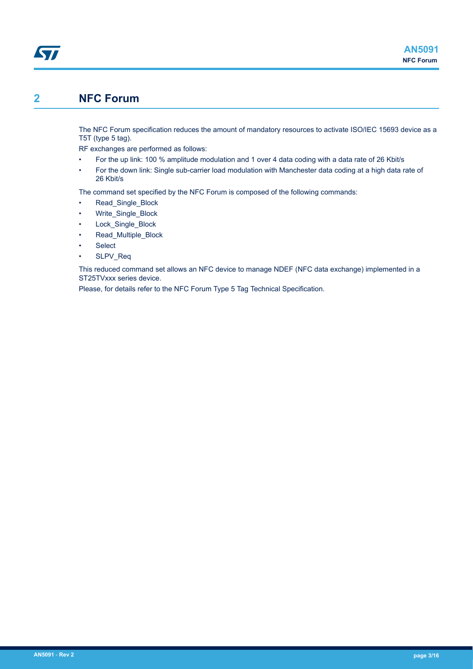## **2 NFC Forum**

<span id="page-2-0"></span>**Kyr** 

The NFC Forum specification reduces the amount of mandatory resources to activate ISO/IEC 15693 device as a T5T (type 5 tag).

RF exchanges are performed as follows:

- For the up link: 100 % amplitude modulation and 1 over 4 data coding with a data rate of 26 Kbit/s
- For the down link: Single sub-carrier load modulation with Manchester data coding at a high data rate of 26 Kbit/s

The command set specified by the NFC Forum is composed of the following commands:

- Read\_Single\_Block
- Write\_Single\_Block
- Lock Single Block
- Read Multiple Block
- **Select**
- SLPV Req

This reduced command set allows an NFC device to manage NDEF (NFC data exchange) implemented in a ST25TVxxx series device.

Please, for details refer to the NFC Forum Type 5 Tag Technical Specification.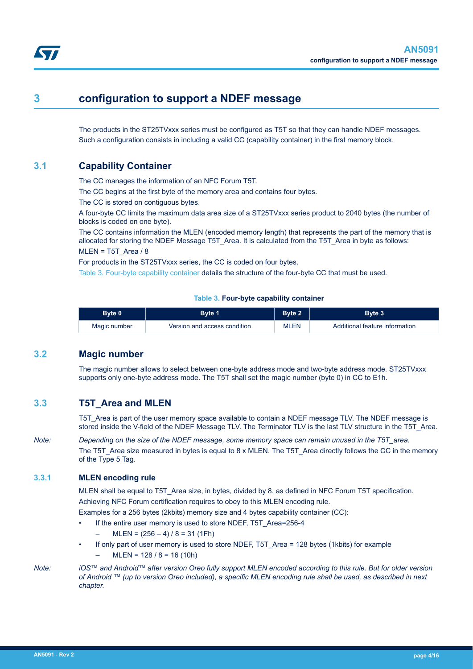## <span id="page-3-0"></span>**3 configuration to support a NDEF message**

The products in the ST25TVxxx series must be configured as T5T so that they can handle NDEF messages. Such a configuration consists in including a valid CC (capability container) in the first memory block.

## **3.1 Capability Container**

The CC manages the information of an NFC Forum T5T.

The CC begins at the first byte of the memory area and contains four bytes.

The CC is stored on contiguous bytes.

A four-byte CC limits the maximum data area size of a ST25TVxxx series product to 2040 bytes (the number of blocks is coded on one byte).

The CC contains information the MLEN (encoded memory length) that represents the part of the memory that is allocated for storing the NDEF Message T5T\_Area. It is calculated from the T5T\_Area in byte as follows:  $MLEN = T5T$  Area / 8

For products in the ST25TVxxx series, the CC is coded on four bytes.

Table 3. Four-byte capability container details the structure of the four-byte CC that must be used.

#### **Table 3. Four-byte capability container**

| Bvte 0       | 3vte '                       | Rvto 2      | Bvte 3                         |
|--------------|------------------------------|-------------|--------------------------------|
| Magic number | Version and access condition | <b>MLEN</b> | Additional feature information |

### **3.2 Magic number**

The magic number allows to select between one-byte address mode and two-byte address mode. ST25TVxxx supports only one-byte address mode. The T5T shall set the magic number (byte 0) in CC to E1h.

## **3.3 T5T\_Area and MLEN**

T5T Area is part of the user memory space available to contain a NDEF message TLV. The NDEF message is stored inside the V-field of the NDEF Message TLV. The Terminator TLV is the last TLV structure in the T5T\_Area.

*Note: Depending on the size of the NDEF message, some memory space can remain unused in the T5T\_area.* The T5T\_Area size measured in bytes is equal to 8 x MLEN. The T5T\_Area directly follows the CC in the memory of the Type 5 Tag.

### **3.3.1 MLEN encoding rule**

MLEN shall be equal to T5T\_Area size, in bytes, divided by 8, as defined in NFC Forum T5T specification. Achieving NFC Forum certification requires to obey to this MLEN encoding rule.

Examples for a 256 bytes (2kbits) memory size and 4 bytes capability container (CC):

- If the entire user memory is used to store NDEF, T5T\_Area=256-4
	- $MLEN = (256 4) / 8 = 31 (1Fh)$
- If only part of user memory is used to store NDEF, T5T\_Area = 128 bytes (1kbits) for example
	- $MLEN = 128 / 8 = 16 (10h)$

*Note: iOS™ and Android™ after version Oreo fully support MLEN encoded according to this rule. But for older version of Android ™ (up to version Oreo included), a specific MLEN encoding rule shall be used, as described in next chapter.*

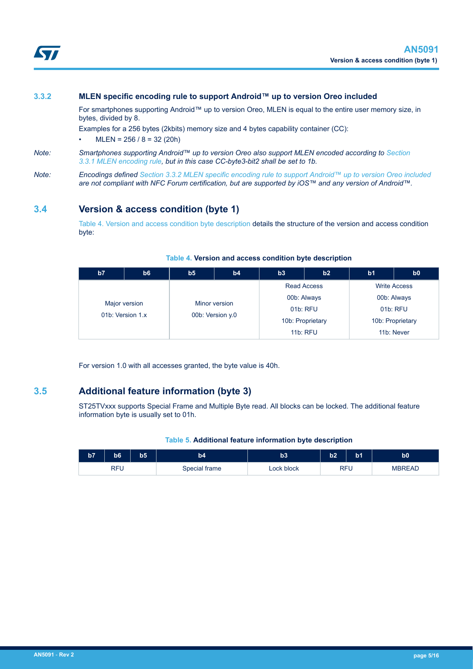<span id="page-4-0"></span>

#### **3.3.2 MLEN specific encoding rule to support Android™ up to version Oreo included**

For smartphones supporting Android™ up to version Oreo, MLEN is equal to the entire user memory size, in bytes, divided by 8.

Examples for a 256 bytes (2kbits) memory size and 4 bytes capability container (CC):

 $MLEN = 256 / 8 = 32 (20h)$ 

#### *Note: Smartphones supporting Android™ up to version Oreo also support MLEN encoded according to [Section](#page-3-0) [3.3.1 MLEN encoding rule](#page-3-0), but in this case CC-byte3-bit2 shall be set to 1b.*

*Note: Encodings defined [Section 3.3.2 MLEN specific encoding rule to support Android™ up to version Oreo included](#page-3-0) are not compliant with NFC Forum certification, but are supported by iOS™ and any version of Android™.*

## **3.4 Version & access condition (byte 1)**

Table 4. Version and access condition byte description details the structure of the version and access condition byte:

| b7                                | b6 | b <sub>5</sub>   | b4 | b3                   | b2 | b <sub>1</sub>      | b0 |
|-----------------------------------|----|------------------|----|----------------------|----|---------------------|----|
|                                   |    |                  |    | <b>Read Access</b>   |    | <b>Write Access</b> |    |
| Major version<br>01b: Version 1.x |    | Minor version    |    | 00b: Always          |    | 00b: Always         |    |
|                                   |    | 00b: Version y.0 |    | 01b: RFU<br>01b: RFU |    |                     |    |
|                                   |    |                  |    | 10b: Proprietary     |    | 10b: Proprietary    |    |
|                                   |    |                  |    | <b>11b: RFU</b>      |    | 11b: Never          |    |

#### **Table 4. Version and access condition byte description**

For version 1.0 with all accesses granted, the byte value is 40h.

### **3.5 Additional feature information (byte 3)**

ST25TVxxx supports Special Frame and Multiple Byte read. All blocks can be locked. The additional feature information byte is usually set to 01h.

#### **Table 5. Additional feature information byte description**

| b7         | b <sub>6</sub> | b5 | b4            | b3         | b2         | b1 | b0            |
|------------|----------------|----|---------------|------------|------------|----|---------------|
| <b>RFU</b> |                |    | Special frame | Lock block | <b>RFU</b> |    | <b>MBREAD</b> |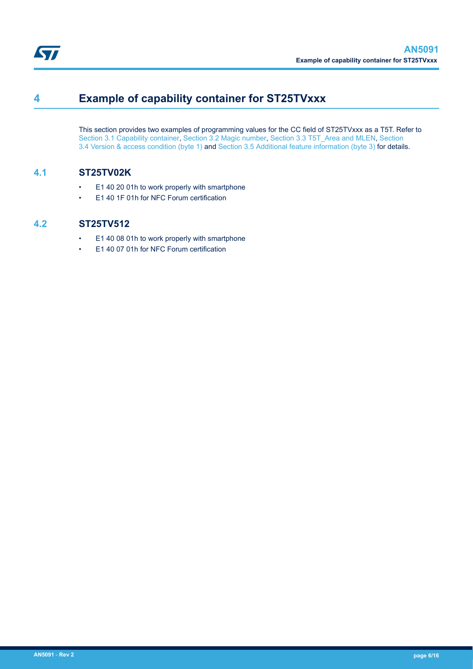<span id="page-5-0"></span>

## **4 Example of capability container for ST25TVxxx**

This section provides two examples of programming values for the CC field of ST25TVxxx as a T5T. Refer to [Section 3.1 Capability container,](#page-3-0) [Section 3.2 Magic number](#page-3-0), [Section 3.3 T5T\\_Area and MLEN,](#page-3-0) [Section](#page-4-0) [3.4 Version & access condition \(byte 1\)](#page-4-0) and [Section 3.5 Additional feature information \(byte 3\)](#page-4-0) for details.

## **4.1 ST25TV02K**

- E1 40 20 01h to work properly with smartphone
- E1 40 1F 01h for NFC Forum certification

## **4.2 ST25TV512**

- E1 40 08 01h to work properly with smartphone
- E1 40 07 01h for NFC Forum certification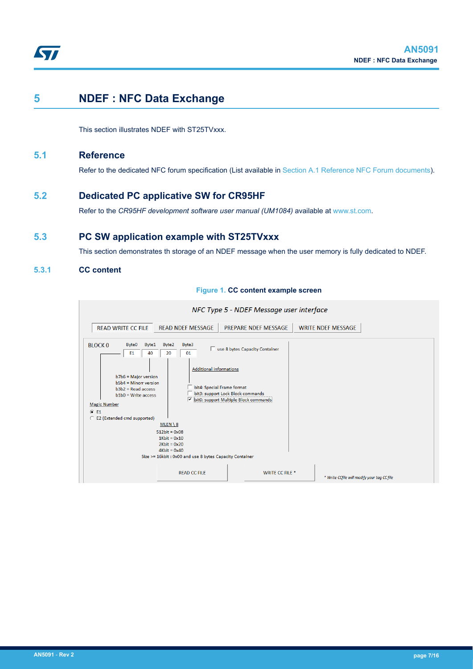<span id="page-6-0"></span>

## **5 NDEF : NFC Data Exchange**

This section illustrates NDEF with ST25TVxxx.

### **5.1 Reference**

Refer to the dedicated NFC forum specification (List available in [Section A.1 Reference NFC Forum documents\)](#page-9-0).

### **5.2 Dedicated PC applicative SW for CR95HF**

Refer to the *CR95HF development software user manual (UM1084)* available at [www.st.com](http://www.st.com).

## **5.3 PC SW application example with ST25TVxxx**

This section demonstrates th storage of an NDEF message when the user memory is fully dedicated to NDEF.

### **5.3.1 CC content**



#### **Figure 1. CC content example screen**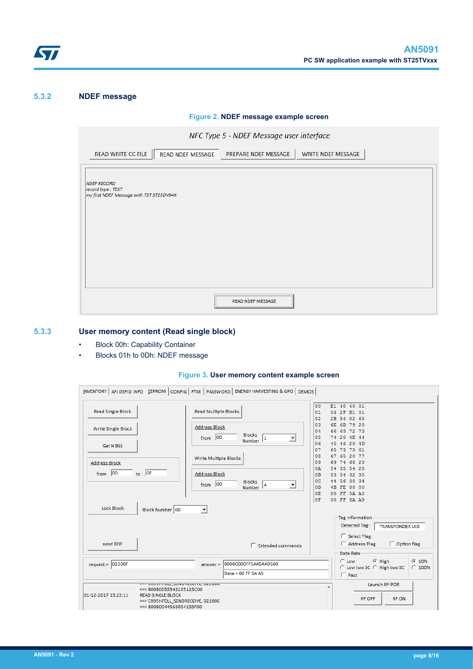<span id="page-7-0"></span>

### **5.3.2 NDEF message**

**Figure 2. NDEF message example screen**

|                                                                                     | NFC Type 5 - NDEF Message user interface |                           |  |
|-------------------------------------------------------------------------------------|------------------------------------------|---------------------------|--|
| READ WRITE CC FILE<br><b>READ NDEF MESSAGE</b>                                      | PREPARE NDEF MESSAGE                     | <b>WRITE NDEF MESSAGE</b> |  |
| <b>NDEF RECORD</b><br>record type: TEXT<br>my first NDEF Message with T5T ST25DV04K |                                          |                           |  |
|                                                                                     | <b>READ NDEF MESSAGE</b>                 |                           |  |

## **5.3.3 User memory content (Read single block)**

- Block 00h: Capability Container
- Blocks 01h to 0Dh: NDEF message

#### **Figure 3. User memory content example screen**

|                                    | INVENTORY AFI DSFID INFO EEPROM CONFIG FTM PASSWORD ENERGY HARVESTING & GPO DEMOS                                                                                  |                                                       |                                                                                                      |
|------------------------------------|--------------------------------------------------------------------------------------------------------------------------------------------------------------------|-------------------------------------------------------|------------------------------------------------------------------------------------------------------|
| <b>Read Single Block</b>           | <b>Read Multiple Blocks</b>                                                                                                                                        |                                                       | E1 40 40 01<br>00<br>01<br>03 2F D1 01<br>02<br>2B 54 02 65                                          |
| Write Single Block                 | <b>Address Block</b><br>from $ 00$                                                                                                                                 | <b>Blocks</b><br>$\overline{\phantom{a}}$<br>Number 1 | 03<br>6E 6D 79 20<br>66 69 72 73<br>04<br>74 20 4E 44<br>0.5                                         |
| <b>Get N BSS</b>                   | Write Multiple Blocks                                                                                                                                              |                                                       | 45 46 20 4D<br>06<br>65 73 73 61<br>07<br>67 65 20 77<br>08                                          |
| <b>Address Block</b><br>from $ 00$ | to $OF$<br><b>Address Block</b>                                                                                                                                    |                                                       | 69 74 68 20<br>09<br>54 35 54 20<br>0A<br>53 54 32 35<br>0 <sub>B</sub>                              |
|                                    | $from$ 00                                                                                                                                                          | <b>Blocks</b><br>$\overline{\phantom{a}}$<br>Number 4 | 44 56 30 34<br>$_{0c}$<br>4B FE 00 00<br>0D<br>00 FF 5A A5<br>0E<br>OF.<br>00 FF 5A A5               |
| Lock Block                         | Block Number 00<br>$\blacktriangledown$                                                                                                                            |                                                       | <b>Tag information</b><br>Detected Tag:<br><b>TRANSPONDER UID</b>                                    |
| send EOF                           |                                                                                                                                                                    | $\Box$ Extended commands                              | Select Flag<br>Option flag<br>$\Box$ Address Flag                                                    |
| $request =  02200F$                | $answer =$                                                                                                                                                         | 80080000FF5AA5A4D500<br>Data = 00 FF 5A A5            | Data Rate<br>$C$ 10%<br>$G$ High<br>$C$ Low<br>C Low two SC C High two SC<br>$C$ 100%<br>$\Box$ Fast |
| 01-12-2017 15:23:11                | יין טועטווון טענן טבוזטוונטבו ווען טבבעעט<br><<< 80080053543235123C00<br><b>READ SINGLE BLOCK</b><br>>>> CR95HFDLL SENDRECEIVE, 02200C<br><<< 80080044563034133F00 |                                                       | Launch RF POR<br>۸<br><b>RF OFF</b><br><b>RF ON</b>                                                  |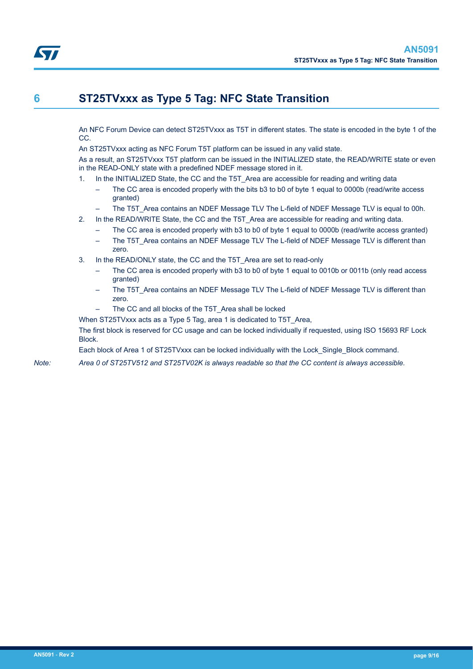An NFC Forum Device can detect ST25TVxxx as T5T in different states. The state is encoded in the byte 1 of the CC.

An ST25TVxxx acting as NFC Forum T5T platform can be issued in any valid state.

As a result, an ST25TVxxx T5T platform can be issued in the INITIALIZED state, the READ/WRITE state or even in the READ-ONLY state with a predefined NDEF message stored in it.

- 1. In the INITIALIZED State, the CC and the T5T\_Area are accessible for reading and writing data
	- The CC area is encoded properly with the bits b3 to b0 of byte 1 equal to 0000b (read/write access granted)
- The T5T\_Area contains an NDEF Message TLV The L-field of NDEF Message TLV is equal to 00h.
- 2. In the READ/WRITE State, the CC and the T5T Area are accessible for reading and writing data.
	- The CC area is encoded properly with b3 to b0 of byte 1 equal to 0000b (read/write access granted)
	- The T5T Area contains an NDEF Message TLV The L-field of NDEF Message TLV is different than zero.
- 3. In the READ/ONLY state, the CC and the T5T\_Area are set to read-only
	- The CC area is encoded properly with b3 to b0 of byte 1 equal to 0010b or 0011b (only read access granted)
	- The T5T Area contains an NDEF Message TLV The L-field of NDEF Message TLV is different than zero.
	- The CC and all blocks of the T5T\_Area shall be locked

When ST25TVxxx acts as a Type 5 Tag, area 1 is dedicated to T5T\_Area,

The first block is reserved for CC usage and can be locked individually if requested, using ISO 15693 RF Lock Block.

Each block of Area 1 of ST25TVxxx can be locked individually with the Lock\_Single\_Block command.

*Note: Area 0 of ST25TV512 and ST25TV02K is always readable so that the CC content is always accessible.*

<span id="page-8-0"></span>S7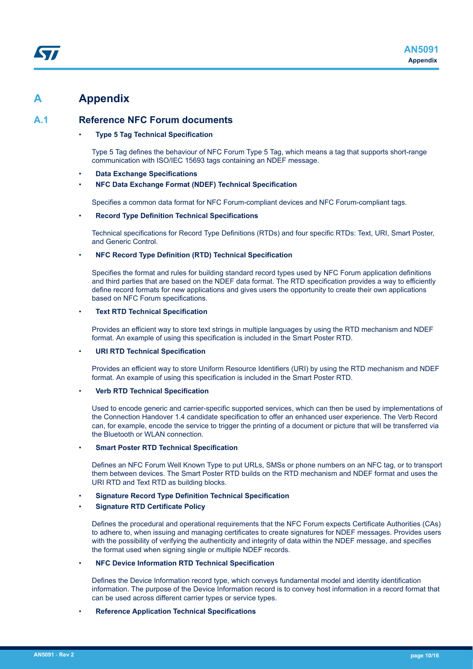## <span id="page-9-0"></span>**A Appendix**

### **A.1 Reference NFC Forum documents**

#### • **Type 5 Tag Technical Specification**

Type 5 Tag defines the behaviour of NFC Forum Type 5 Tag, which means a tag that supports short-range communication with ISO/IEC 15693 tags containing an NDEF message.

- **Data Exchange Specifications**
- **NFC Data Exchange Format (NDEF) Technical Specification**

Specifies a common data format for NFC Forum-compliant devices and NFC Forum-compliant tags.

#### • **Record Type Definition Technical Specifications**

Technical specifications for Record Type Definitions (RTDs) and four specific RTDs: Text, URI, Smart Poster, and Generic Control.

#### • **NFC Record Type Definition (RTD) Technical Specification**

Specifies the format and rules for building standard record types used by NFC Forum application definitions and third parties that are based on the NDEF data format. The RTD specification provides a way to efficiently define record formats for new applications and gives users the opportunity to create their own applications based on NFC Forum specifications.

#### • **Text RTD Technical Specification**

Provides an efficient way to store text strings in multiple languages by using the RTD mechanism and NDEF format. An example of using this specification is included in the Smart Poster RTD.

#### • **URI RTD Technical Specification**

Provides an efficient way to store Uniform Resource Identifiers (URI) by using the RTD mechanism and NDEF format. An example of using this specification is included in the Smart Poster RTD.

#### • **Verb RTD Technical Specification**

Used to encode generic and carrier-specific supported services, which can then be used by implementations of the Connection Handover 1.4 candidate specification to offer an enhanced user experience. The Verb Record can, for example, encode the service to trigger the printing of a document or picture that will be transferred via the Bluetooth or WLAN connection.

#### • **Smart Poster RTD Technical Specification**

Defines an NFC Forum Well Known Type to put URLs, SMSs or phone numbers on an NFC tag, or to transport them between devices. The Smart Poster RTD builds on the RTD mechanism and NDEF format and uses the URI RTD and Text RTD as building blocks.

#### • **Signature Record Type Definition Technical Specification**

#### • **Signature RTD Certificate Policy**

Defines the procedural and operational requirements that the NFC Forum expects Certificate Authorities (CAs) to adhere to, when issuing and managing certificates to create signatures for NDEF messages. Provides users with the possibility of verifying the authenticity and integrity of data within the NDEF message, and specifies the format used when signing single or multiple NDEF records.

#### • **NFC Device Information RTD Technical Specification**

Defines the Device Information record type, which conveys fundamental model and identity identification information. The purpose of the Device Information record is to convey host information in a record format that can be used across different carrier types or service types.

#### • **Reference Application Technical Specifications**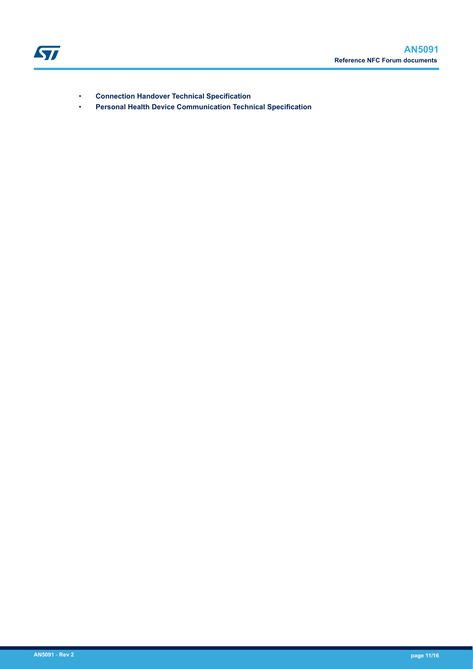

- **Connection Handover Technical Specification**
- **Personal Health Device Communication Technical Specification**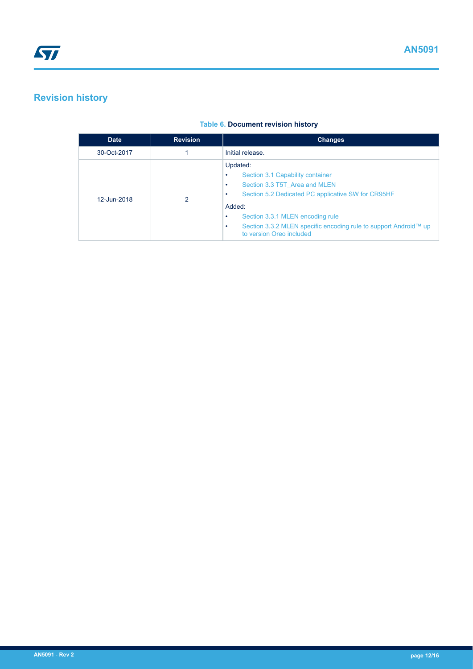## <span id="page-11-0"></span>**Revision history**

## **Table 6. Document revision history**

| <b>Date</b> | <b>Revision</b> | <b>Changes</b>                                                                                                                                                                                                                                                                                        |  |
|-------------|-----------------|-------------------------------------------------------------------------------------------------------------------------------------------------------------------------------------------------------------------------------------------------------------------------------------------------------|--|
| 30-Oct-2017 |                 | Initial release.                                                                                                                                                                                                                                                                                      |  |
| 12-Jun-2018 | 2               | Updated:<br>Section 3.1 Capability container<br>Section 3.3 T5T Area and MLEN<br>٠<br>Section 5.2 Dedicated PC applicative SW for CR95HF<br>٠<br>Added:<br>Section 3.3.1 MLEN encoding rule<br>٠<br>Section 3.3.2 MLEN specific encoding rule to support Android™ up<br>٠<br>to version Oreo included |  |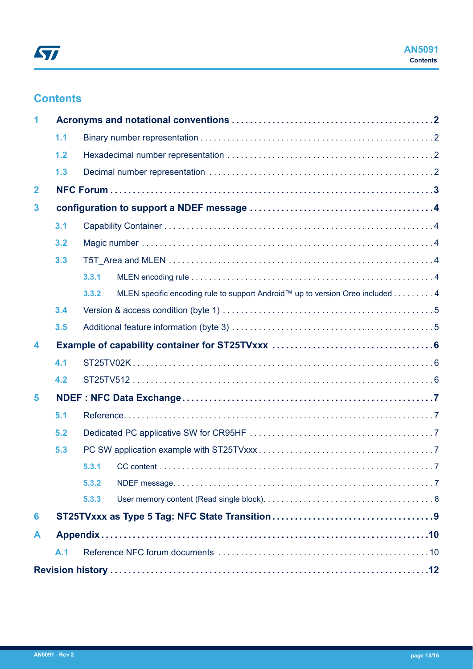## **Contents**

| 1              |     |       |                                                                               |  |
|----------------|-----|-------|-------------------------------------------------------------------------------|--|
|                | 1.1 |       |                                                                               |  |
|                | 1.2 |       |                                                                               |  |
|                | 1.3 |       |                                                                               |  |
| $\overline{2}$ |     |       |                                                                               |  |
| 3              |     |       |                                                                               |  |
|                | 3.1 |       |                                                                               |  |
|                | 3.2 |       |                                                                               |  |
|                | 3.3 |       |                                                                               |  |
|                |     | 3.3.1 |                                                                               |  |
|                |     | 3.3.2 | MLEN specific encoding rule to support Android™ up to version Oreo included 4 |  |
|                | 3.4 |       |                                                                               |  |
|                | 3.5 |       |                                                                               |  |
| 4              |     |       |                                                                               |  |
|                | 4.1 |       |                                                                               |  |
|                | 4.2 |       |                                                                               |  |
| 5              |     |       |                                                                               |  |
|                | 5.1 |       |                                                                               |  |
|                | 5.2 |       |                                                                               |  |
|                | 5.3 |       |                                                                               |  |
|                |     | 5.3.1 |                                                                               |  |
|                |     | 5.3.2 |                                                                               |  |
|                |     | 5.3.3 |                                                                               |  |
| 6              |     |       |                                                                               |  |
| A              |     |       |                                                                               |  |
|                | A.1 |       |                                                                               |  |
|                |     |       |                                                                               |  |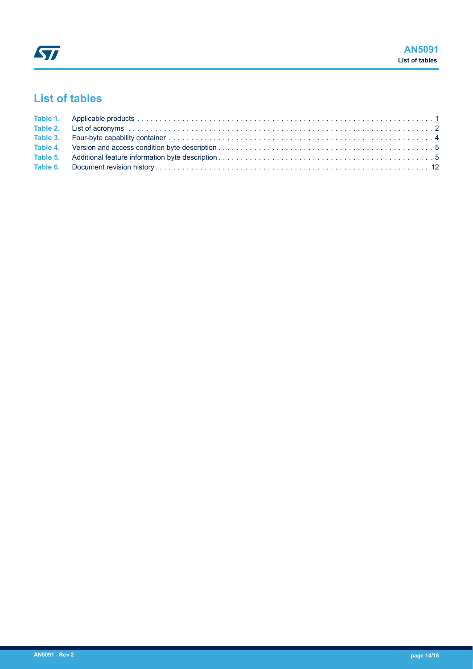## **List of tables**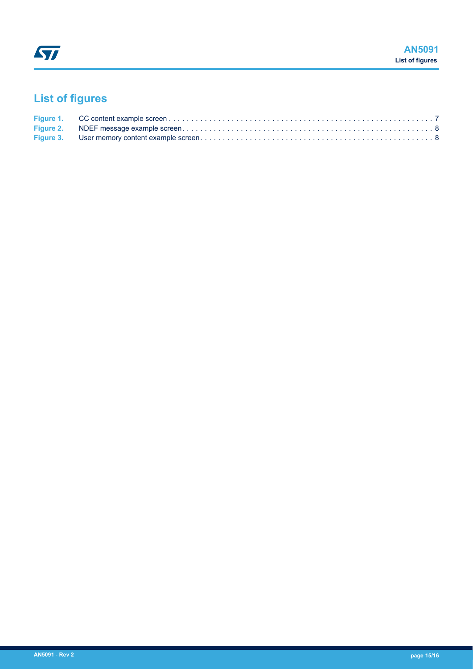# **List of figures**